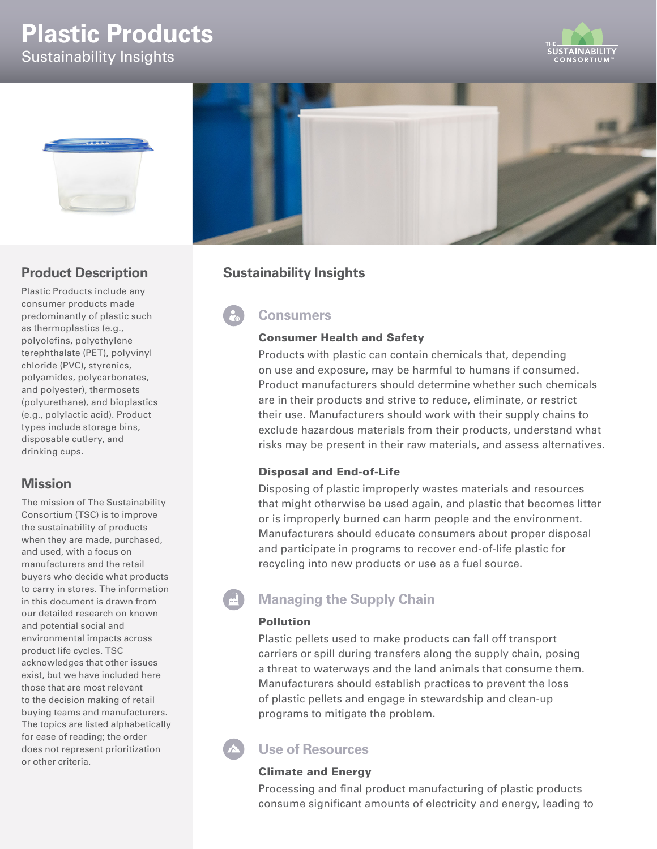# **Plastic Products**

Sustainability Insights







Plastic Products include any consumer products made predominantly of plastic such as thermoplastics (e.g., polyolefins, polyethylene terephthalate (PET), polyvinyl chloride (PVC), styrenics, polyamides, polycarbonates, and polyester), thermosets (polyurethane), and bioplastics (e.g., polylactic acid). Product types include storage bins, disposable cutlery, and drinking cups.

## **Mission**

The mission of The Sustainability Consortium (TSC) is to improve the sustainability of products when they are made, purchased, and used, with a focus on manufacturers and the retail buyers who decide what products to carry in stores. The information in this document is drawn from our detailed research on known and potential social and environmental impacts across product life cycles. TSC acknowledges that other issues exist, but we have included here those that are most relevant to the decision making of retail buying teams and manufacturers. The topics are listed alphabetically for ease of reading; the order does not represent prioritization or other criteria.



## **Sustainability Insights**

# **Consumers**

#### Consumer Health and Safety

Products with plastic can contain chemicals that, depending on use and exposure, may be harmful to humans if consumed. Product manufacturers should determine whether such chemicals are in their products and strive to reduce, eliminate, or restrict their use. Manufacturers should work with their supply chains to exclude hazardous materials from their products, understand what risks may be present in their raw materials, and assess alternatives.

## Disposal and End-of-Life

Disposing of plastic improperly wastes materials and resources that might otherwise be used again, and plastic that becomes litter or is improperly burned can harm people and the environment. Manufacturers should educate consumers about proper disposal and participate in programs to recover end-of-life plastic for recycling into new products or use as a fuel source.

# **Managing the Supply Chain**

#### Pollution

Plastic pellets used to make products can fall off transport carriers or spill during transfers along the supply chain, posing a threat to waterways and the land animals that consume them. Manufacturers should establish practices to prevent the loss of plastic pellets and engage in stewardship and clean-up programs to mitigate the problem.

## **Use of Resources**

## Climate and Energy

Processing and final product manufacturing of plastic products consume significant amounts of electricity and energy, leading to